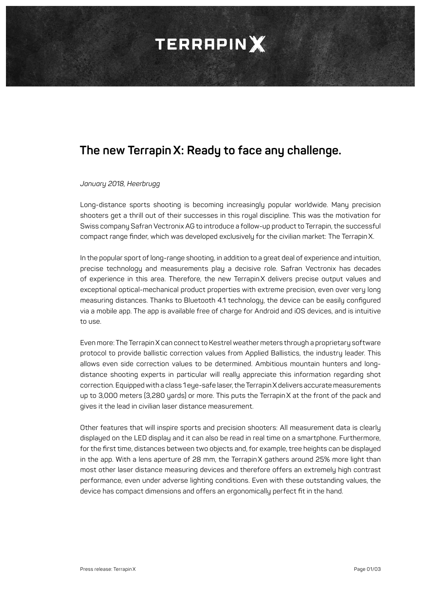## **TERRAPINX**

### **The new TerrapinX: Ready to face any challenge.**

#### *January 2018, Heerbrugg*

Long-distance sports shooting is becoming increasingly popular worldwide. Many precision shooters get a thrill out of their successes in this roual discipline. This was the motivation for Swiss company Safran Vectronix AG to introduce a follow-up product to Terrapin, the successful compact range finder, which was developed exclusively for the civilian market: The TerrapinX.

In the popular sport of long-range shooting, in addition to a great deal of experience and intuition, precise technology and measurements play a decisive role. Safran Vectronix has decades of experience in this area. Therefore, the new TerrapinX delivers precise output values and exceptional optical-mechanical product properties with extreme precision, even over very long measuring distances. Thanks to Bluetooth 4.1 technology, the device can be easily configured via a mobile app. The app is available free of charge for Android and iOS devices, and is intuitive to use.

Even more: The TerrapinX can connect to Kestrel weather meters through a proprietary software protocol to provide ballistic correction values from Applied Ballistics, the industry leader. This allows even side correction values to be determined. Ambitious mountain hunters and longdistance shooting experts in particular will really appreciate this information regarding shot correction. Equipped with a class 1 eye-safe laser, the Terrapin X delivers accurate measurements up to 3,000 meters (3,280 yards) or more. This puts the TerrapinX at the front of the pack and gives it the lead in civilian laser distance measurement.

Other features that will inspire sports and precision shooters: All measurement data is clearly displayed on the LED display and it can also be read in real time on a smartphone. Furthermore, for the first time, distances between two objects and, for example, tree heights can be displayed in the app. With a lens aperture of 28 mm, the TerrapinX gathers around 25% more light than most other laser distance measuring devices and therefore offers an extremely high contrast performance, even under adverse lighting conditions. Even with these outstanding values, the device has compact dimensions and offers an ergonomically perfect fit in the hand.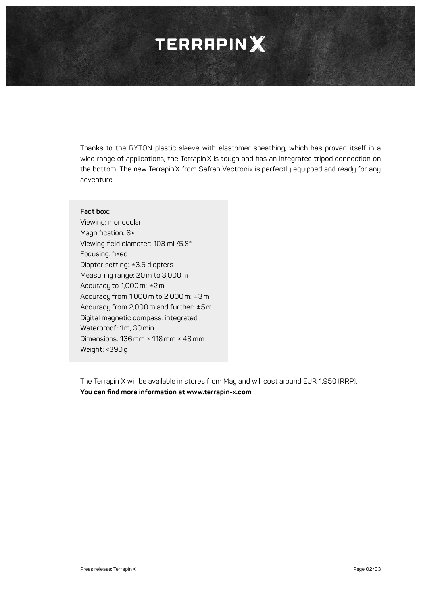### **TERRAPINX**

Thanks to the RYTON plastic sleeve with elastomer sheathing, which has proven itself in a wide range of applications, the TerrapinX is tough and has an integrated tripod connection on the bottom. The new TerrapinX from Safran Vectronix is perfectly equipped and ready for any adventure.

#### **Fact box:**

Viewing: monocular Magnification: 8× Viewing field diameter: 103 mil/5.8° Focusing: fixed Diopter setting: ±3.5 diopters Measuring range: 20 m to 3,000 m Accuracy to 1,000 m: ±2 m Accuracy from 1,000 m to 2,000 m: ±3 m Accuracy from 2,000 m and further: ±5 m Digital magnetic compass: integrated Waterproof: 1m, 30 min. Dimensions: 136 mm × 118 mm × 48 mm Weight: <390g

The Terrapin X will be available in stores from May and will cost around EUR 1,950 (RRP). **You can find more information at www.terrapin-x.com**